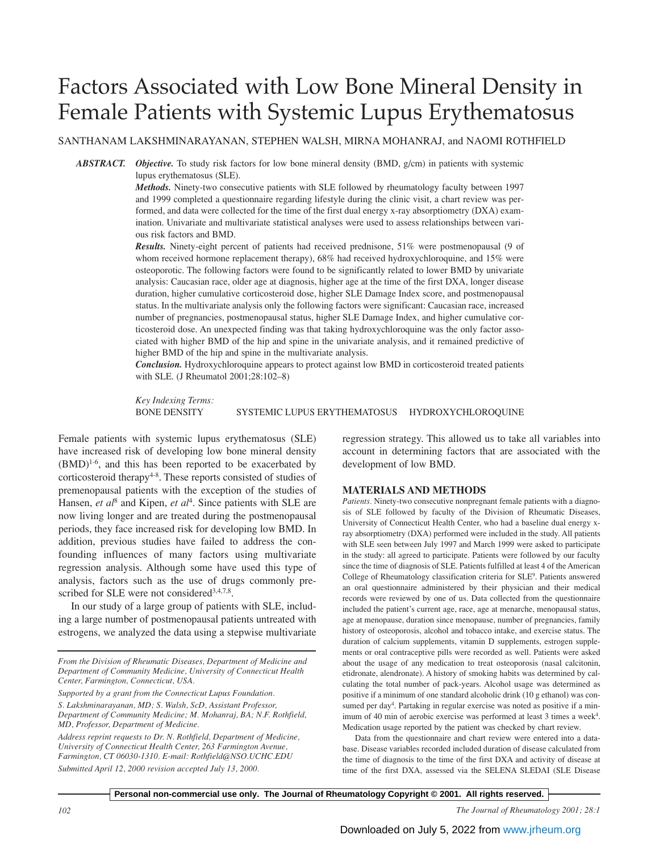# Factors Associated with Low Bone Mineral Density in Female Patients with Systemic Lupus Erythematosus

SANTHANAM LAKSHMINARAYANAN, STEPHEN WALSH, MIRNA MOHANRAJ, and NAOMI ROTHFIELD

*ABSTRACT. Objective.* To study risk factors for low bone mineral density (BMD, g/cm) in patients with systemic lupus erythematosus (SLE).

> *Methods.* Ninety-two consecutive patients with SLE followed by rheumatology faculty between 1997 and 1999 completed a questionnaire regarding lifestyle during the clinic visit, a chart review was performed, and data were collected for the time of the first dual energy x-ray absorptiometry (DXA) examination. Univariate and multivariate statistical analyses were used to assess relationships between various risk factors and BMD.

> *Results.* Ninety-eight percent of patients had received prednisone, 51% were postmenopausal (9 of whom received hormone replacement therapy), 68% had received hydroxychloroquine, and 15% were osteoporotic. The following factors were found to be significantly related to lower BMD by univariate analysis: Caucasian race, older age at diagnosis, higher age at the time of the first DXA, longer disease duration, higher cumulative corticosteroid dose, higher SLE Damage Index score, and postmenopausal status. In the multivariate analysis only the following factors were significant: Caucasian race, increased number of pregnancies, postmenopausal status, higher SLE Damage Index, and higher cumulative corticosteroid dose. An unexpected finding was that taking hydroxychloroquine was the only factor associated with higher BMD of the hip and spine in the univariate analysis, and it remained predictive of higher BMD of the hip and spine in the multivariate analysis.

> *Conclusion.* Hydroxychloroquine appears to protect against low BMD in corticosteroid treated patients with SLE. (J Rheumatol 2001;28:102–8)

> *Key Indexing Terms:* BONE DENSITY SYSTEMIC LUPUS ERYTHEMATOSUS HYDROXYCHLOROQUINE

Female patients with systemic lupus erythematosus (SLE) have increased risk of developing low bone mineral density  $(BMD)^{1-6}$ , and this has been reported to be exacerbated by corticosteroid therapy<sup>4-8</sup>. These reports consisted of studies of premenopausal patients with the exception of the studies of Hansen, *et al*<sup>8</sup> and Kipen, *et al*<sup>4</sup>. Since patients with SLE are now living longer and are treated during the postmenopausal periods, they face increased risk for developing low BMD. In addition, previous studies have failed to address the confounding influences of many factors using multivariate regression analysis. Although some have used this type of analysis, factors such as the use of drugs commonly prescribed for SLE were not considered<sup>3,4,7,8</sup>.

In our study of a large group of patients with SLE, including a large number of postmenopausal patients untreated with estrogens, we analyzed the data using a stepwise multivariate

*Supported by a grant from the Connecticut Lupus Foundation.*

*S. Lakshminarayanan, MD; S. Walsh, ScD, Assistant Professor, Department of Community Medicine; M. Mohanraj, BA; N.F. Rothfield, MD, Professor, Department of Medicine.*

*Address reprint requests to Dr. N. Rothfield, Department of Medicine, University of Connecticut Health Center, 263 Farmington Avenue, Farmington, CT 06030-1310. E-mail: Rothfield@NSO.UCHC.EDU Submitted April 12, 2000 revision accepted July 13, 2000.*

regression strategy. This allowed us to take all variables into account in determining factors that are associated with the development of low BMD.

#### **MATERIALS AND METHODS**

*Patients.* Ninety-two consecutive nonpregnant female patients with a diagnosis of SLE followed by faculty of the Division of Rheumatic Diseases, University of Connecticut Health Center, who had a baseline dual energy xray absorptiometry (DXA) performed were included in the study. All patients with SLE seen between July 1997 and March 1999 were asked to participate in the study: all agreed to participate. Patients were followed by our faculty since the time of diagnosis of SLE. Patients fulfilled at least 4 of the American College of Rheumatology classification criteria for SLE<sup>9</sup>. Patients answered an oral questionnaire administered by their physician and their medical records were reviewed by one of us. Data collected from the questionnaire included the patient's current age, race, age at menarche, menopausal status, age at menopause, duration since menopause, number of pregnancies, family history of osteoporosis, alcohol and tobacco intake, and exercise status. The duration of calcium supplements, vitamin D supplements, estrogen supplements or oral contraceptive pills were recorded as well. Patients were asked about the usage of any medication to treat osteoporosis (nasal calcitonin, etidronate, alendronate). A history of smoking habits was determined by calculating the total number of pack-years. Alcohol usage was determined as positive if a minimum of one standard alcoholic drink (10 g ethanol) was consumed per day<sup>4</sup>. Partaking in regular exercise was noted as positive if a minimum of 40 min of aerobic exercise was performed at least 3 times a week<sup>4</sup>. Medication usage reported by the patient was checked by chart review.

Data from the questionnaire and chart review were entered into a database. Disease variables recorded included duration of disease calculated from the time of diagnosis to the time of the first DXA and activity of disease at time of the first DXA, assessed via the SELENA SLEDAI (SLE Disease

*From the Division of Rheumatic Diseases, Department of Medicine and Department of Community Medicine, University of Connecticut Health Center, Farmington, Connecticut, USA.*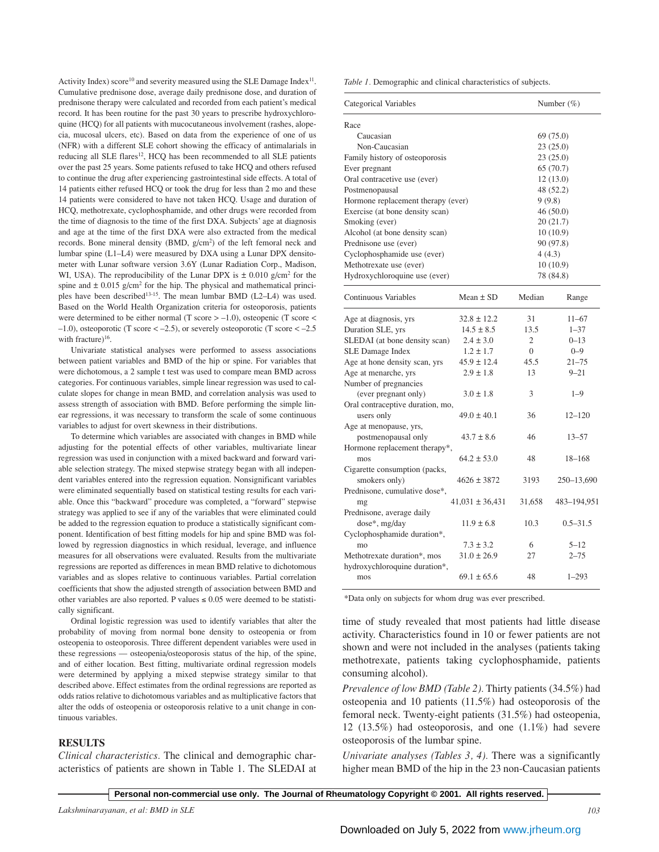Activity Index) score<sup>10</sup> and severity measured using the SLE Damage Index<sup>11</sup>. Cumulative prednisone dose, average daily prednisone dose, and duration of prednisone therapy were calculated and recorded from each patient's medical record. It has been routine for the past 30 years to prescribe hydroxychloroquine (HCQ) for all patients with mucocutaneous involvement (rashes, alopecia, mucosal ulcers, etc). Based on data from the experience of one of us (NFR) with a different SLE cohort showing the efficacy of antimalarials in reducing all SLE flares<sup>12</sup>, HCQ has been recommended to all SLE patients over the past 25 years. Some patients refused to take HCQ and others refused to continue the drug after experiencing gastrointestinal side effects. A total of 14 patients either refused HCQ or took the drug for less than 2 mo and these 14 patients were considered to have not taken HCQ. Usage and duration of HCQ, methotrexate, cyclophosphamide, and other drugs were recorded from the time of diagnosis to the time of the first DXA. Subjects' age at diagnosis and age at the time of the first DXA were also extracted from the medical records. Bone mineral density (BMD,  $g/cm<sup>2</sup>$ ) of the left femoral neck and lumbar spine (L1–L4) were measured by DXA using a Lunar DPX densitometer with Lunar software version 3.6Y (Lunar Radiation Corp., Madison, WI, USA). The reproducibility of the Lunar DPX is  $\pm 0.010$  g/cm<sup>2</sup> for the spine and  $\pm$  0.015 g/cm<sup>2</sup> for the hip. The physical and mathematical principles have been described<sup>13-15</sup>. The mean lumbar BMD (L2–L4) was used. Based on the World Health Organization criteria for osteoporosis, patients were determined to be either normal (T score  $> -1.0$ ), osteopenic (T score  $<$  $-1.0$ ), osteoporotic (T score  $<-2.5$ ), or severely osteoporotic (T score  $<-2.5$ ) with fracture) $16$ .

Univariate statistical analyses were performed to assess associations between patient variables and BMD of the hip or spine. For variables that were dichotomous, a 2 sample t test was used to compare mean BMD across categories. For continuous variables, simple linear regression was used to calculate slopes for change in mean BMD, and correlation analysis was used to assess strength of association with BMD. Before performing the simple linear regressions, it was necessary to transform the scale of some continuous variables to adjust for overt skewness in their distributions.

To determine which variables are associated with changes in BMD while adjusting for the potential effects of other variables, multivariate linear regression was used in conjunction with a mixed backward and forward variable selection strategy. The mixed stepwise strategy began with all independent variables entered into the regression equation. Nonsignificant variables were eliminated sequentially based on statistical testing results for each variable. Once this "backward" procedure was completed, a "forward" stepwise strategy was applied to see if any of the variables that were eliminated could be added to the regression equation to produce a statistically significant component. Identification of best fitting models for hip and spine BMD was followed by regression diagnostics in which residual, leverage, and influence measures for all observations were evaluated. Results from the multivariate regressions are reported as differences in mean BMD relative to dichotomous variables and as slopes relative to continuous variables. Partial correlation coefficients that show the adjusted strength of association between BMD and other variables are also reported. P values  $\leq 0.05$  were deemed to be statistically significant.

Ordinal logistic regression was used to identify variables that alter the probability of moving from normal bone density to osteopenia or from osteopenia to osteoporosis. Three different dependent variables were used in these regressions — osteopenia/osteoporosis status of the hip, of the spine, and of either location. Best fitting, multivariate ordinal regression models were determined by applying a mixed stepwise strategy similar to that described above. Effect estimates from the ordinal regressions are reported as odds ratios relative to dichotomous variables and as multiplicative factors that alter the odds of osteopenia or osteoporosis relative to a unit change in continuous variables.

### **RESULTS**

*Clinical characteristics.* The clinical and demographic characteristics of patients are shown in Table 1. The SLEDAI at *Table 1.* Demographic and clinical characteristics of subjects.

| Categorical Variables              |                     | Number $(\%)$  |              |  |  |
|------------------------------------|---------------------|----------------|--------------|--|--|
| Race                               |                     |                |              |  |  |
| Caucasian                          |                     | 69 (75.0)      |              |  |  |
| Non-Caucasian                      | 23 (25.0)           |                |              |  |  |
| Family history of osteoporosis     |                     |                | 23(25.0)     |  |  |
| Ever pregnant                      |                     |                | 65 (70.7)    |  |  |
| Oral contracetive use (ever)       |                     |                | 12(13.0)     |  |  |
| Postmenopausal                     |                     | 48 (52.2)      |              |  |  |
| Hormone replacement therapy (ever) |                     | 9(9.8)         |              |  |  |
| Exercise (at bone density scan)    |                     |                | 46 (50.0)    |  |  |
| Smoking (ever)                     |                     |                | 20(21.7)     |  |  |
| Alcohol (at bone density scan)     |                     |                | 10(10.9)     |  |  |
| Prednisone use (ever)              |                     |                | 90 (97.8)    |  |  |
| Cyclophosphamide use (ever)        |                     | 4 (4.3)        |              |  |  |
| Methotrexate use (ever)            |                     |                | 10(10.9)     |  |  |
| Hydroxychloroquine use (ever)      |                     |                | 78 (84.8)    |  |  |
| Continuous Variables               | Mean $\pm$ SD       | Median         | Range        |  |  |
| Age at diagnosis, yrs              | $32.8 \pm 12.2$     | 31             | $11 - 67$    |  |  |
| Duration SLE, yrs                  | $14.5 \pm 8.5$      | 13.5           | $1 - 37$     |  |  |
| SLEDAI (at bone density scan)      | $2.4 \pm 3.0$       | 2              | $0 - 13$     |  |  |
| SLE Damage Index                   | $1.2 \pm 1.7$       | $\overline{0}$ | $0 - 9$      |  |  |
| Age at hone density scan, yrs      | $45.9 \pm 12.4$     | 45.5           | $21 - 75$    |  |  |
| Age at menarche, yrs               | $2.9 \pm 1.8$       | 13             | $9 - 21$     |  |  |
| Number of pregnancies              |                     |                |              |  |  |
| (ever pregnant only)               | $3.0 \pm 1.8$       | 3              | $1 - 9$      |  |  |
| Oral contraceptive duration, mo,   |                     |                |              |  |  |
| users only                         | $49.0 \pm 40.1$     | 36             | $12 - 120$   |  |  |
| Age at menopause, yrs,             |                     |                |              |  |  |
| postmenopausal only                | $43.7 \pm 8.6$      | 46             | $13 - 57$    |  |  |
| Hormone replacement therapy*,      |                     |                |              |  |  |
| mos                                | $64.2 \pm 53.0$     | 48             | 18-168       |  |  |
| Cigarette consumption (packs,      |                     |                |              |  |  |
| smokers only)                      | $4626 \pm 3872$     | 3193           | 250–13,690   |  |  |
| Prednisone, cumulative dose*,      |                     |                |              |  |  |
| mg                                 | $41,031 \pm 36,431$ | 31,658         | 483-194,951  |  |  |
| Prednisone, average daily          |                     |                |              |  |  |
| dose*, mg/day                      | $11.9 \pm 6.8$      | 10.3           | $0.5 - 31.5$ |  |  |
| Cyclophosphamide duration*,        |                     |                |              |  |  |
| mo                                 | $7.3 \pm 3.2$       | 6              | $5 - 12$     |  |  |
| Methotrexate duration*, mos        | $31.0 \pm 26.9$     | 27             | $2 - 75$     |  |  |
| hydroxychloroquine duration*,      |                     |                |              |  |  |
| mos                                | $69.1 \pm 65.6$     | 48             | $1 - 293$    |  |  |

\*Data only on subjects for whom drug was ever prescribed.

time of study revealed that most patients had little disease activity. Characteristics found in 10 or fewer patients are not shown and were not included in the analyses (patients taking methotrexate, patients taking cyclophosphamide, patients consuming alcohol).

*Prevalence of low BMD (Table 2).* Thirty patients (34.5%) had osteopenia and 10 patients (11.5%) had osteoporosis of the femoral neck. Twenty-eight patients (31.5%) had osteopenia, 12 (13.5%) had osteoporosis, and one (1.1%) had severe osteoporosis of the lumbar spine.

*Univariate analyses (Tables 3, 4).* There was a significantly higher mean BMD of the hip in the 23 non-Caucasian patients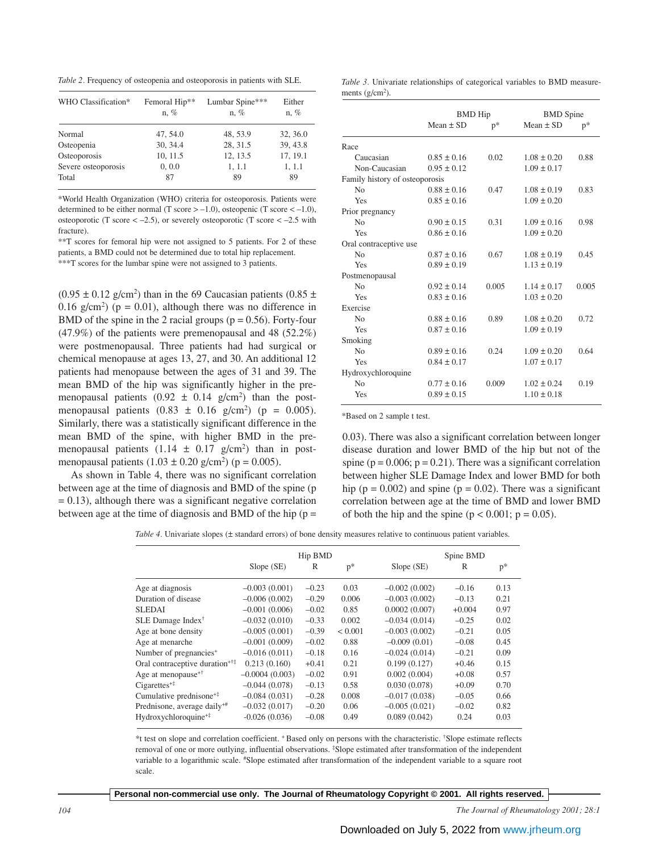*Table 2.* Frequency of osteopenia and osteoporosis in patients with SLE.

| WHO Classification* | Femoral Hip**<br>$n, \%$ | Lumbar Spine***<br>$n, \%$ | Either<br>$n, \%$ |
|---------------------|--------------------------|----------------------------|-------------------|
| Normal              | 47, 54.0                 | 48, 53.9                   | 32, 36.0          |
| Osteopenia          | 30, 34.4                 | 28, 31.5                   | 39, 43.8          |
| Osteoporosis        | 10, 11.5                 | 12, 13.5                   | 17, 19.1          |
| Severe osteoporosis | 0, 0.0                   | 1, 1.1                     | 1, 1.1            |
| Total               | 87                       | 89                         | 89                |

\*World Health Organization (WHO) criteria for osteoporosis. Patients were determined to be either normal (T score  $> -1.0$ ), osteopenic (T score  $< -1.0$ ), osteoporotic (T score  $<-2.5$ ), or severely osteoporotic (T score  $<-2.5$  with fracture).

\*\*T scores for femoral hip were not assigned to 5 patients. For 2 of these patients, a BMD could not be determined due to total hip replacement. \*\*\*T scores for the lumbar spine were not assigned to 3 patients.

 $(0.95 \pm 0.12 \text{ g/cm}^2)$  than in the 69 Caucasian patients  $(0.85 \pm 1.12 \text{ g/cm}^2)$ 0.16 g/cm<sup>2</sup>) ( $p = 0.01$ ), although there was no difference in BMD of the spine in the 2 racial groups ( $p = 0.56$ ). Forty-four (47.9%) of the patients were premenopausal and 48 (52.2%) were postmenopausal. Three patients had had surgical or chemical menopause at ages 13, 27, and 30. An additional 12 patients had menopause between the ages of 31 and 39. The mean BMD of the hip was significantly higher in the premenopausal patients  $(0.92 \pm 0.14 \text{ g/cm}^2)$  than the postmenopausal patients  $(0.83 \pm 0.16 \text{ g/cm}^2)$  (p = 0.005). Similarly, there was a statistically significant difference in the mean BMD of the spine, with higher BMD in the premenopausal patients  $(1.14 \pm 0.17 \text{ g/cm}^2)$  than in postmenopausal patients  $(1.03 \pm 0.20 \text{ g/cm}^2)$  (p = 0.005).

As shown in Table 4, there was no significant correlation between age at the time of diagnosis and BMD of the spine (p  $= 0.13$ ), although there was a significant negative correlation between age at the time of diagnosis and BMD of the hip  $(p =$ 

|  |                   | <i>Table 3.</i> Univariate relationships of categorical variables to BMD measure- |  |  |  |
|--|-------------------|-----------------------------------------------------------------------------------|--|--|--|
|  | ments $(g/cm2)$ . |                                                                                   |  |  |  |

|                                | <b>BMD</b> Hip  |       | <b>BMD</b> Spine |       |  |
|--------------------------------|-----------------|-------|------------------|-------|--|
|                                | Mean $\pm$ SD   | $p^*$ | Mean $\pm$ SD    | $p^*$ |  |
| Race                           |                 |       |                  |       |  |
| Caucasian                      | $0.85 \pm 0.16$ | 0.02  | $1.08 \pm 0.20$  | 0.88  |  |
| Non-Caucasian                  | $0.95 \pm 0.12$ |       | $1.09 \pm 0.17$  |       |  |
| Family history of osteoporosis |                 |       |                  |       |  |
| No                             | $0.88 \pm 0.16$ | 0.47  | $1.08 \pm 0.19$  | 0.83  |  |
| Yes                            | $0.85 \pm 0.16$ |       | $1.09 \pm 0.20$  |       |  |
| Prior pregnancy                |                 |       |                  |       |  |
| N <sub>0</sub>                 | $0.90 \pm 0.15$ | 0.31  | $1.09 \pm 0.16$  | 0.98  |  |
| Yes                            | $0.86 \pm 0.16$ |       | $1.09 \pm 0.20$  |       |  |
| Oral contraceptive use         |                 |       |                  |       |  |
| No                             | $0.87 \pm 0.16$ | 0.67  | $1.08 \pm 0.19$  | 0.45  |  |
| Yes                            | $0.89 \pm 0.19$ |       | $1.13 \pm 0.19$  |       |  |
| Postmenopausal                 |                 |       |                  |       |  |
| No                             | $0.92 \pm 0.14$ | 0.005 | $1.14 \pm 0.17$  | 0.005 |  |
| Yes                            | $0.83 \pm 0.16$ |       | $1.03 \pm 0.20$  |       |  |
| Exercise                       |                 |       |                  |       |  |
| No                             | $0.88 \pm 0.16$ | 0.89  | $1.08 \pm 0.20$  | 0.72  |  |
| Yes                            | $0.87 \pm 0.16$ |       | $1.09 \pm 0.19$  |       |  |
| Smoking                        |                 |       |                  |       |  |
| N <sub>0</sub>                 | $0.89 \pm 0.16$ | 0.24  | $1.09 \pm 0.20$  | 0.64  |  |
| Yes                            | $0.84 \pm 0.17$ |       | $1.07 \pm 0.17$  |       |  |
| Hydroxychloroquine             |                 |       |                  |       |  |
| N <sub>0</sub>                 | $0.77 \pm 0.16$ | 0.009 | $1.02 \pm 0.24$  | 0.19  |  |
| Yes                            | $0.89 \pm 0.15$ |       | $1.10 \pm 0.18$  |       |  |

\*Based on 2 sample t test.

0.03). There was also a significant correlation between longer disease duration and lower BMD of the hip but not of the spine ( $p = 0.006$ ;  $p = 0.21$ ). There was a significant correlation between higher SLE Damage Index and lower BMD for both hip ( $p = 0.002$ ) and spine ( $p = 0.02$ ). There was a significant correlation between age at the time of BMD and lower BMD of both the hip and the spine ( $p < 0.001$ ;  $p = 0.05$ ).

*Table 4.* Univariate slopes ( $\pm$  standard errors) of bone density measures relative to continuous patient variables.

|                                             | Hip BMD          |         |              | Spine BMD       |          |      |  |
|---------------------------------------------|------------------|---------|--------------|-----------------|----------|------|--|
|                                             | Slope (SE)       | R       | $p^*$        | Slope (SE)      | R        | $p*$ |  |
| Age at diagnosis                            | $-0.003(0.001)$  | $-0.23$ | 0.03         | $-0.002(0.002)$ | $-0.16$  | 0.13 |  |
| Duration of disease                         | $-0.006(0.002)$  | $-0.29$ | 0.006        | $-0.003(0.002)$ | $-0.13$  | 0.21 |  |
| <b>SLEDAI</b>                               | $-0.001(0.006)$  | $-0.02$ | 0.85         | 0.0002(0.007)   | $+0.004$ | 0.97 |  |
| SLE Damage Index <sup>†</sup>               | $-0.032(0.010)$  | $-0.33$ | 0.002        | $-0.034(0.014)$ | $-0.25$  | 0.02 |  |
| Age at bone density                         | $-0.005(0.001)$  | $-0.39$ | ${}_{0.001}$ | $-0.003(0.002)$ | $-0.21$  | 0.05 |  |
| Age at menarche                             | $-0.001(0.009)$  | $-0.02$ | 0.88         | $-0.009(0.01)$  | $-0.08$  | 0.45 |  |
| Number of pregnancies <sup>+</sup>          | $-0.016(0.011)$  | $-0.18$ | 0.16         | $-0.024(0.014)$ | $-0.21$  | 0.09 |  |
| Oral contraceptive duration <sup>+†‡</sup>  | 0.213(0.160)     | $+0.41$ | 0.21         | 0.199(0.127)    | $+0.46$  | 0.15 |  |
| Age at menopause <sup><math>+†</math></sup> | $-0.0004(0.003)$ | $-0.02$ | 0.91         | 0.002(0.004)    | $+0.08$  | 0.57 |  |
| $Cigareites^{+1}$                           | $-0.044(0.078)$  | $-0.13$ | 0.58         | 0.030(0.078)    | $+0.09$  | 0.70 |  |
| Cumulative prednisone <sup>+‡</sup>         | $-0.084(0.031)$  | $-0.28$ | 0.008        | $-0.017(0.038)$ | $-0.05$  | 0.66 |  |
| Prednisone, average daily <sup>+#</sup>     | $-0.032(0.017)$  | $-0.20$ | 0.06         | $-0.005(0.021)$ | $-0.02$  | 0.82 |  |
| Hydroxychloroquine <sup>+‡</sup>            | $-0.026(0.036)$  | $-0.08$ | 0.49         | 0.089(0.042)    | 0.24     | 0.03 |  |

\*t test on slope and correlation coefficient. + Based only on persons with the characteristic. † Slope estimate reflects removal of one or more outlying, influential observations. ‡ Slope estimated after transformation of the independent variable to a logarithmic scale. # Slope estimated after transformation of the independent variable to a square root scale.

**Personal non-commercial use only. The Journal of Rheumatology Copyright © 2001. All rights reserved.**

*104 The Journal of Rheumatology 2001; 28:1*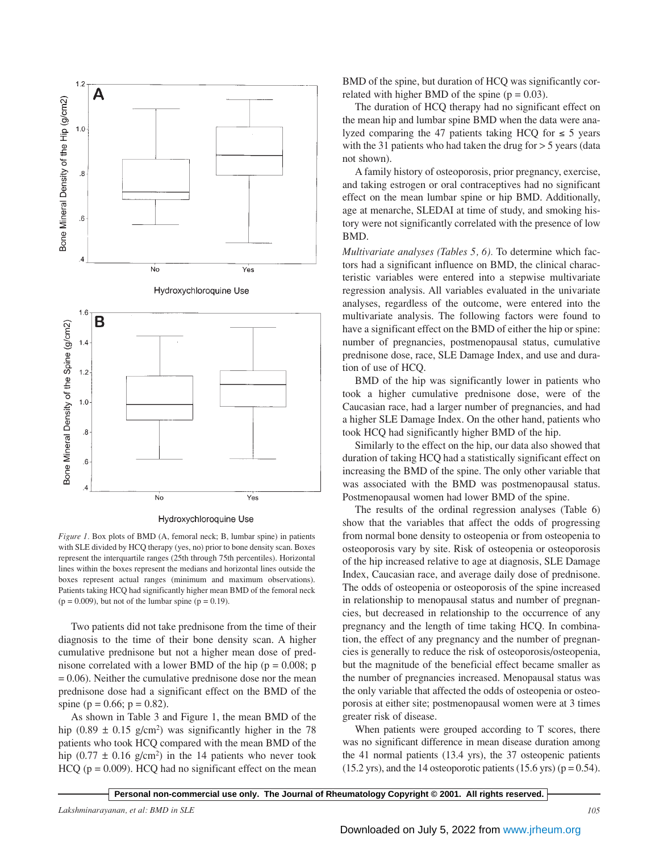

*Figure 1.* Box plots of BMD (A, femoral neck; B, lumbar spine) in patients with SLE divided by HCQ therapy (yes, no) prior to bone density scan. Boxes represent the interquartile ranges (25th through 75th percentiles). Horizontal lines within the boxes represent the medians and horizontal lines outside the boxes represent actual ranges (minimum and maximum observations). Patients taking HCQ had significantly higher mean BMD of the femoral neck  $(p = 0.009)$ , but not of the lumbar spine  $(p = 0.19)$ .

Two patients did not take prednisone from the time of their diagnosis to the time of their bone density scan. A higher cumulative prednisone but not a higher mean dose of prednisone correlated with a lower BMD of the hip ( $p = 0.008$ ; p  $= 0.06$ ). Neither the cumulative prednisone dose nor the mean prednisone dose had a significant effect on the BMD of the spine ( $p = 0.66$ ;  $p = 0.82$ ).

As shown in Table 3 and Figure 1, the mean BMD of the hip  $(0.89 \pm 0.15 \text{ g/cm}^2)$  was significantly higher in the 78 patients who took HCQ compared with the mean BMD of the hip  $(0.77 \pm 0.16 \text{ g/cm}^2)$  in the 14 patients who never took  $HCQ$  ( $p = 0.009$ ).  $HCQ$  had no significant effect on the mean BMD of the spine, but duration of HCQ was significantly correlated with higher BMD of the spine  $(p = 0.03)$ .

The duration of HCQ therapy had no significant effect on the mean hip and lumbar spine BMD when the data were analyzed comparing the 47 patients taking HCQ for  $\leq 5$  years with the 31 patients who had taken the drug for  $> 5$  years (data not shown).

A family history of osteoporosis, prior pregnancy, exercise, and taking estrogen or oral contraceptives had no significant effect on the mean lumbar spine or hip BMD. Additionally, age at menarche, SLEDAI at time of study, and smoking history were not significantly correlated with the presence of low BMD.

*Multivariate analyses (Tables 5, 6).* To determine which factors had a significant influence on BMD, the clinical characteristic variables were entered into a stepwise multivariate regression analysis. All variables evaluated in the univariate analyses, regardless of the outcome, were entered into the multivariate analysis. The following factors were found to have a significant effect on the BMD of either the hip or spine: number of pregnancies, postmenopausal status, cumulative prednisone dose, race, SLE Damage Index, and use and duration of use of HCQ.

BMD of the hip was significantly lower in patients who took a higher cumulative prednisone dose, were of the Caucasian race, had a larger number of pregnancies, and had a higher SLE Damage Index. On the other hand, patients who took HCQ had significantly higher BMD of the hip.

Similarly to the effect on the hip, our data also showed that duration of taking HCQ had a statistically significant effect on increasing the BMD of the spine. The only other variable that was associated with the BMD was postmenopausal status. Postmenopausal women had lower BMD of the spine.

The results of the ordinal regression analyses (Table 6) show that the variables that affect the odds of progressing from normal bone density to osteopenia or from osteopenia to osteoporosis vary by site. Risk of osteopenia or osteoporosis of the hip increased relative to age at diagnosis, SLE Damage Index, Caucasian race, and average daily dose of prednisone. The odds of osteopenia or osteoporosis of the spine increased in relationship to menopausal status and number of pregnancies, but decreased in relationship to the occurrence of any pregnancy and the length of time taking HCQ. In combination, the effect of any pregnancy and the number of pregnancies is generally to reduce the risk of osteoporosis/osteopenia, but the magnitude of the beneficial effect became smaller as the number of pregnancies increased. Menopausal status was the only variable that affected the odds of osteopenia or osteoporosis at either site; postmenopausal women were at 3 times greater risk of disease.

When patients were grouped according to T scores, there was no significant difference in mean disease duration among the 41 normal patients (13.4 yrs), the 37 osteopenic patients  $(15.2 \text{ yrs})$ , and the 14 osteoporotic patients  $(15.6 \text{ yrs})$  (p = 0.54).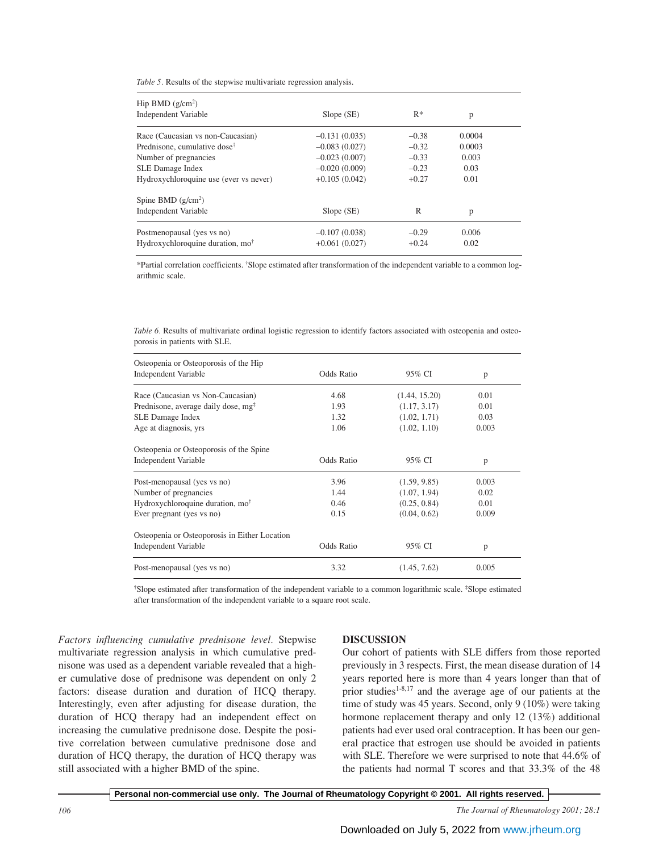*Table 5.* Results of the stepwise multivariate regression analysis.

| Hip BMD $(g/cm^2)$                           |                 |         |        |  |
|----------------------------------------------|-----------------|---------|--------|--|
| Independent Variable                         | Slope (SE)      | $R^*$   | p      |  |
| Race (Caucasian vs non-Caucasian)            | $-0.131(0.035)$ | $-0.38$ | 0.0004 |  |
| Prednisone, cumulative dose <sup>†</sup>     | $-0.083(0.027)$ | $-0.32$ | 0.0003 |  |
| Number of pregnancies                        | $-0.023(0.007)$ | $-0.33$ | 0.003  |  |
| SLE Damage Index                             | $-0.020(0.009)$ | $-0.23$ | 0.03   |  |
| Hydroxychloroquine use (ever vs never)       | $+0.105(0.042)$ | $+0.27$ | 0.01   |  |
| Spine BMD $(g/cm^2)$                         |                 |         |        |  |
| Independent Variable                         | $Slope$ (SE)    | R       | p      |  |
| Postmenopausal (yes vs no)                   | $-0.107(0.038)$ | $-0.29$ | 0.006  |  |
| Hydroxychloroquine duration, mo <sup>†</sup> | $+0.061(0.027)$ | $+0.24$ | 0.02   |  |

\*Partial correlation coefficients. † Slope estimated after transformation of the independent variable to a common logarithmic scale.

*Table 6.* Results of multivariate ordinal logistic regression to identify factors associated with osteopenia and osteoporosis in patients with SLE.

| Osteopenia or Osteoporosis of the Hip<br>Independent Variable | <b>Odds Ratio</b> | 95% CI        | p     |  |
|---------------------------------------------------------------|-------------------|---------------|-------|--|
| Race (Caucasian vs Non-Caucasian)                             | 4.68              | (1.44, 15.20) | 0.01  |  |
| Prednisone, average daily dose, mg <sup>‡</sup>               | 1.93              | (1.17, 3.17)  | 0.01  |  |
| <b>SLE Damage Index</b>                                       | 1.32              | (1.02, 1.71)  | 0.03  |  |
| Age at diagnosis, yrs                                         | 1.06              | (1.02, 1.10)  | 0.003 |  |
| Osteopenia or Osteoporosis of the Spine                       |                   |               |       |  |
| Independent Variable                                          | <b>Odds Ratio</b> | 95% CI        | p     |  |
| Post-menopausal (yes vs no)                                   | 3.96              | (1.59, 9.85)  | 0.003 |  |
| Number of pregnancies                                         | 1.44              | (1.07, 1.94)  | 0.02  |  |
| Hydroxychloroquine duration, mo <sup>†</sup>                  | 0.46              | (0.25, 0.84)  | 0.01  |  |
| Ever pregnant (yes vs no)                                     | 0.15              | (0.04, 0.62)  | 0.009 |  |
| Osteopenia or Osteoporosis in Either Location                 |                   |               |       |  |
| Independent Variable                                          | <b>Odds Ratio</b> | 95% CI        | p     |  |
| Post-menopausal (yes vs no)                                   | 3.32              | (1.45, 7.62)  | 0.005 |  |

† Slope estimated after transformation of the independent variable to a common logarithmic scale. ‡ Slope estimated after transformation of the independent variable to a square root scale.

*Factors influencing cumulative prednisone level.* Stepwise multivariate regression analysis in which cumulative prednisone was used as a dependent variable revealed that a higher cumulative dose of prednisone was dependent on only 2 factors: disease duration and duration of HCQ therapy. Interestingly, even after adjusting for disease duration, the duration of HCQ therapy had an independent effect on increasing the cumulative prednisone dose. Despite the positive correlation between cumulative prednisone dose and duration of HCQ therapy, the duration of HCQ therapy was still associated with a higher BMD of the spine.

## **DISCUSSION**

Our cohort of patients with SLE differs from those reported previously in 3 respects. First, the mean disease duration of 14 years reported here is more than 4 years longer than that of prior studies<sup>1-8,17</sup> and the average age of our patients at the time of study was 45 years. Second, only 9 (10%) were taking hormone replacement therapy and only 12 (13%) additional patients had ever used oral contraception. It has been our general practice that estrogen use should be avoided in patients with SLE. Therefore we were surprised to note that 44.6% of the patients had normal T scores and that 33.3% of the 48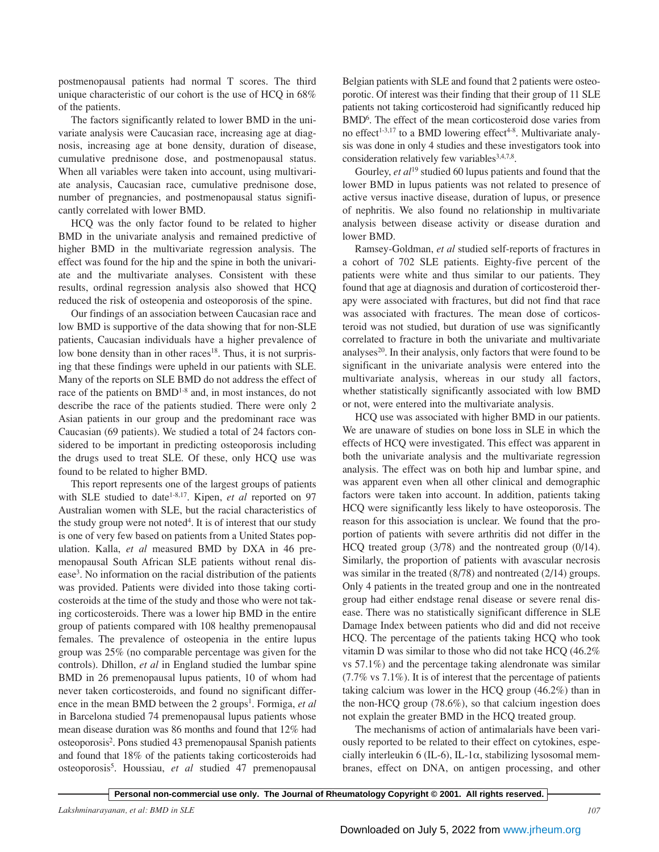postmenopausal patients had normal T scores. The third unique characteristic of our cohort is the use of HCQ in 68% of the patients.

The factors significantly related to lower BMD in the univariate analysis were Caucasian race, increasing age at diagnosis, increasing age at bone density, duration of disease, cumulative prednisone dose, and postmenopausal status. When all variables were taken into account, using multivariate analysis, Caucasian race, cumulative prednisone dose, number of pregnancies, and postmenopausal status significantly correlated with lower BMD.

HCQ was the only factor found to be related to higher BMD in the univariate analysis and remained predictive of higher BMD in the multivariate regression analysis. The effect was found for the hip and the spine in both the univariate and the multivariate analyses. Consistent with these results, ordinal regression analysis also showed that HCQ reduced the risk of osteopenia and osteoporosis of the spine.

Our findings of an association between Caucasian race and low BMD is supportive of the data showing that for non-SLE patients, Caucasian individuals have a higher prevalence of low bone density than in other races<sup>18</sup>. Thus, it is not surprising that these findings were upheld in our patients with SLE. Many of the reports on SLE BMD do not address the effect of race of the patients on BMD<sup>1-8</sup> and, in most instances, do not describe the race of the patients studied. There were only 2 Asian patients in our group and the predominant race was Caucasian (69 patients). We studied a total of 24 factors considered to be important in predicting osteoporosis including the drugs used to treat SLE. Of these, only HCQ use was found to be related to higher BMD.

This report represents one of the largest groups of patients with SLE studied to date<sup>1-8,17</sup>. Kipen, *et al* reported on 97 Australian women with SLE, but the racial characteristics of the study group were not noted<sup>4</sup>. It is of interest that our study is one of very few based on patients from a United States population. Kalla, *et al* measured BMD by DXA in 46 premenopausal South African SLE patients without renal disease<sup>3</sup>. No information on the racial distribution of the patients was provided. Patients were divided into those taking corticosteroids at the time of the study and those who were not taking corticosteroids. There was a lower hip BMD in the entire group of patients compared with 108 healthy premenopausal females. The prevalence of osteopenia in the entire lupus group was 25% (no comparable percentage was given for the controls). Dhillon, *et al* in England studied the lumbar spine BMD in 26 premenopausal lupus patients, 10 of whom had never taken corticosteroids, and found no significant difference in the mean BMD between the 2 groups<sup>1</sup>. Formiga, et al in Barcelona studied 74 premenopausal lupus patients whose mean disease duration was 86 months and found that 12% had osteoporosis2 . Pons studied 43 premenopausal Spanish patients and found that 18% of the patients taking corticosteroids had osteoporosis5 . Houssiau, *et al* studied 47 premenopausal

Belgian patients with SLE and found that 2 patients were osteoporotic. Of interest was their finding that their group of 11 SLE patients not taking corticosteroid had significantly reduced hip BMD<sup>6</sup>. The effect of the mean corticosteroid dose varies from no effect<sup>1-3,17</sup> to a BMD lowering effect<sup>4-8</sup>. Multivariate analysis was done in only 4 studies and these investigators took into consideration relatively few variables<sup>3,4,7,8</sup>.

Gourley, *et al*<sup>19</sup> studied 60 lupus patients and found that the lower BMD in lupus patients was not related to presence of active versus inactive disease, duration of lupus, or presence of nephritis. We also found no relationship in multivariate analysis between disease activity or disease duration and lower BMD.

Ramsey-Goldman, *et al* studied self-reports of fractures in a cohort of 702 SLE patients. Eighty-five percent of the patients were white and thus similar to our patients. They found that age at diagnosis and duration of corticosteroid therapy were associated with fractures, but did not find that race was associated with fractures. The mean dose of corticosteroid was not studied, but duration of use was significantly correlated to fracture in both the univariate and multivariate analyses $^{20}$ . In their analysis, only factors that were found to be significant in the univariate analysis were entered into the multivariate analysis, whereas in our study all factors, whether statistically significantly associated with low BMD or not, were entered into the multivariate analysis.

HCQ use was associated with higher BMD in our patients. We are unaware of studies on bone loss in SLE in which the effects of HCQ were investigated. This effect was apparent in both the univariate analysis and the multivariate regression analysis. The effect was on both hip and lumbar spine, and was apparent even when all other clinical and demographic factors were taken into account. In addition, patients taking HCQ were significantly less likely to have osteoporosis. The reason for this association is unclear. We found that the proportion of patients with severe arthritis did not differ in the HCQ treated group (3/78) and the nontreated group (0/14). Similarly, the proportion of patients with avascular necrosis was similar in the treated (8/78) and nontreated (2/14) groups. Only 4 patients in the treated group and one in the nontreated group had either endstage renal disease or severe renal disease. There was no statistically significant difference in SLE Damage Index between patients who did and did not receive HCQ. The percentage of the patients taking HCQ who took vitamin D was similar to those who did not take HCQ (46.2% vs 57.1%) and the percentage taking alendronate was similar (7.7% vs 7.1%). It is of interest that the percentage of patients taking calcium was lower in the HCQ group (46.2%) than in the non-HCQ group (78.6%), so that calcium ingestion does not explain the greater BMD in the HCQ treated group.

The mechanisms of action of antimalarials have been variously reported to be related to their effect on cytokines, especially interleukin 6 (IL-6), IL-1 $\alpha$ , stabilizing lysosomal membranes, effect on DNA, on antigen processing, and other